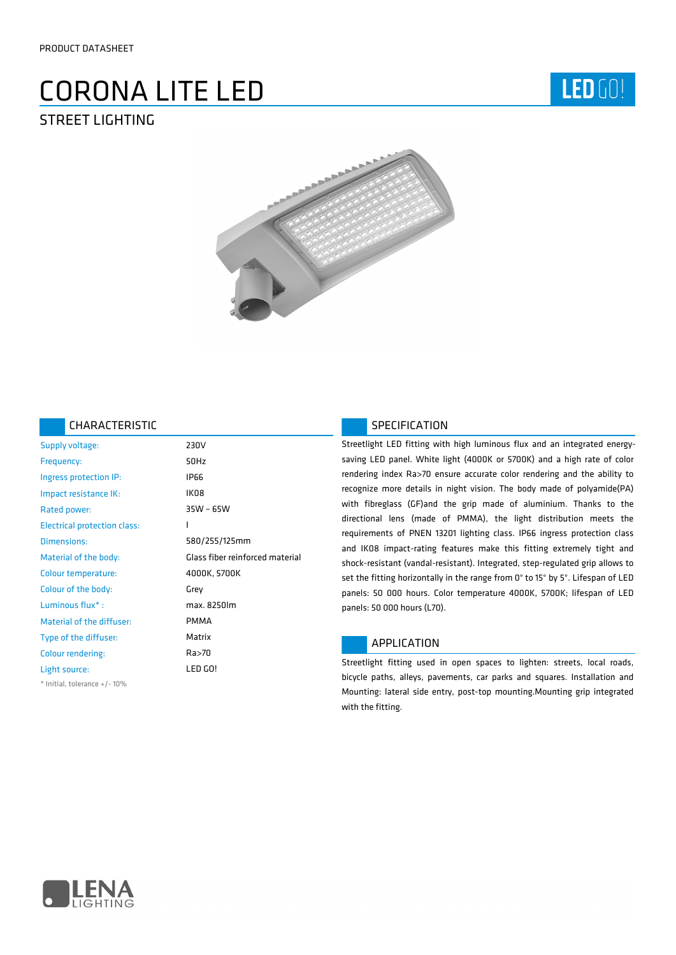# CORONA LITE LED STREET LIGHTING





### CHARACTERISTIC

| Supply voltage:                     | 230V                            |
|-------------------------------------|---------------------------------|
| Frequency:                          | 50Hz                            |
| Ingress protection IP:              | <b>IP66</b>                     |
| Impact resistance IK:               | IK08                            |
| Rated power:                        | 35W - 65W                       |
| <b>Electrical protection class:</b> | I                               |
| Dimensions:                         | 580/255/125mm                   |
| Material of the body:               | Glass fiber reinforced material |
| Colour temperature:                 | 4000K, 5700K                    |
| Colour of the body:                 | Grey                            |
| Luminous flux*:                     | max. 8250lm                     |
| Material of the diffuser:           | <b>PMMA</b>                     |
| Type of the diffuser:               | Matrix                          |
| Colour rendering:                   | Ra>70                           |
| Light source:                       | LED GO!                         |
| * Initial, tolerance +/-10%         |                                 |

## SPECIFICATION

Streetlight LED fitting with high luminous flux and an integrated energysaving LED panel. White light (4000K or 5700K) and a high rate of color rendering index Ra>70 ensure accurate color rendering and the ability to recognize more details in night vision. The body made of polyamide(PA) with fibreglass (GF)and the grip made of aluminium. Thanks to the directional lens (made of PMMA), the light distribution meets the requirements of PNEN 13201 lighting class. IP66 ingress protection class and IK08 impact-rating features make this fitting extremely tight and shock-resistant (vandal-resistant). Integrated, step-regulated grip allows to set the fitting horizontally in the range from 0° to 15° by 5°. Lifespan of LED panels: 50 000 hours. Color temperature 4000K, 5700K; lifespan of LED panels: 50 000 hours (L70).

## APPLICATION

Streetlight fitting used in open spaces to lighten: streets, local roads, bicycle paths, alleys, pavements, car parks and squares. Installation and Mounting: lateral side entry, post-top mounting.Mounting grip integrated with the fitting.